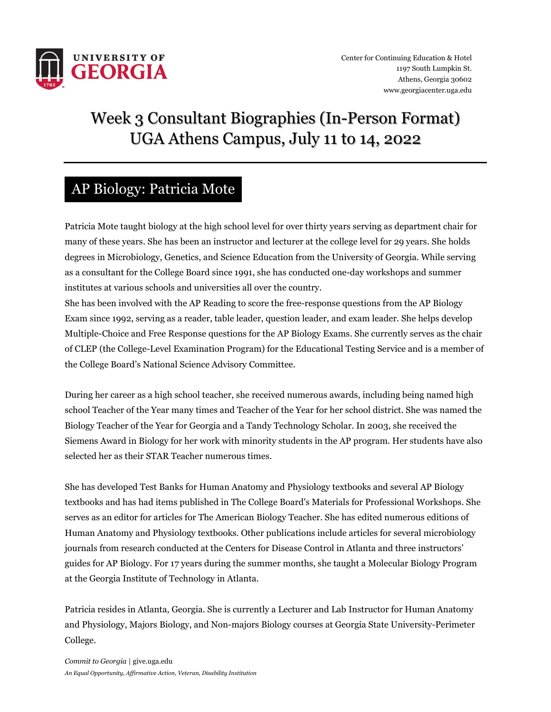

# Week 3 Consultant Biographies (In-Person Format) UGA Athens Campus, July 11 to 14, 2022

## AP Biology: Patricia Mote

Patricia Mote taught biology at the high school level for over thirty years serving as department chair for many of these years. She has been an instructor and lecturer at the college level for 29 years. She holds degrees in Microbiology, Genetics, and Science Education from the University of Georgia. While serving as a consultant for the College Board since 1991, she has conducted one-day workshops and summer institutes at various schools and universities all over the country.

She has been involved with the AP Reading to score the free-response questions from the AP Biology Exam since 1992, serving as a reader, table leader, question leader, and exam leader. She helps develop Multiple-Choice and Free Response questions for the AP Biology Exams. She currently serves as the chair of CLEP (the College-Level Examination Program) for the Educational Testing Service and is a member of the College Board's National Science Advisory Committee.

During her career as a high school teacher, she received numerous awards, including being named high school Teacher of the Year many times and Teacher of the Year for her school district. She was named the Biology Teacher of the Year for Georgia and a Tandy Technology Scholar. In 2003, she received the Siemens Award in Biology for her work with minority students in the AP program. Her students have also selected her as their STAR Teacher numerous times.

She has developed Test Banks for Human Anatomy and Physiology textbooks and several AP Biology textbooks and has had items published in The College Board's Materials for Professional Workshops. She serves as an editor for articles for The American Biology Teacher. She has edited numerous editions of Human Anatomy and Physiology textbooks. Other publications include articles for several microbiology journals from research conducted at the Centers for Disease Control in Atlanta and three instructors' guides for AP Biology. For 17 years during the summer months, she taught a Molecular Biology Program at the Georgia Institute of Technology in Atlanta.

Patricia resides in Atlanta, Georgia. She is currently a Lecturer and Lab Instructor for Human Anatomy and Physiology, Majors Biology, and Non-majors Biology courses at Georgia State University-Perimeter College.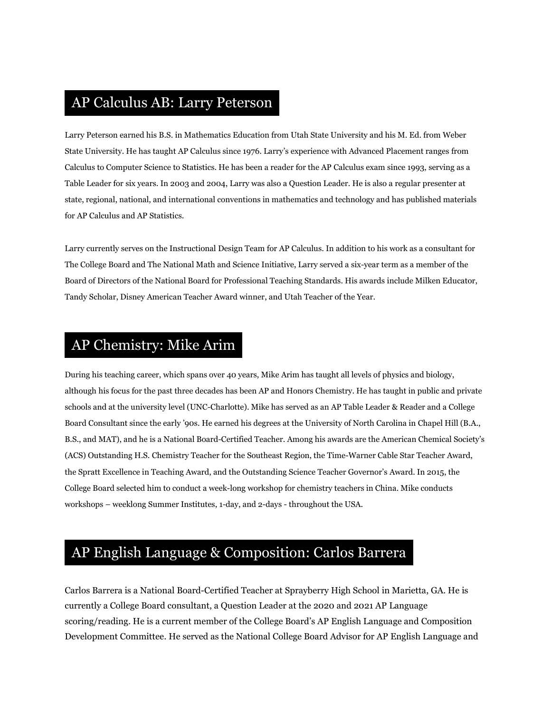# AP Calculus AB: Larry Peterson

Larry Peterson earned his B.S. in Mathematics Education from Utah State University and his M. Ed. from Weber State University. He has taught AP Calculus since 1976. Larry's experience with Advanced Placement ranges from Calculus to Computer Science to Statistics. He has been a reader for the AP Calculus exam since 1993, serving as a Table Leader for six years. In 2003 and 2004, Larry was also a Question Leader. He is also a regular presenter at state, regional, national, and international conventions in mathematics and technology and has published materials for AP Calculus and AP Statistics.

Larry currently serves on the Instructional Design Team for AP Calculus. In addition to his work as a consultant for The College Board and The National Math and Science Initiative, Larry served a six-year term as a member of the Board of Directors of the National Board for Professional Teaching Standards. His awards include Milken Educator, Tandy Scholar, Disney American Teacher Award winner, and Utah Teacher of the Year.

## AP Chemistry: Mike Arim

During his teaching career, which spans over 40 years, Mike Arim has taught all levels of physics and biology, although his focus for the past three decades has been AP and Honors Chemistry. He has taught in public and private schools and at the university level (UNC-Charlotte). Mike has served as an AP Table Leader & Reader and a College Board Consultant since the early '90s. He earned his degrees at the University of North Carolina in Chapel Hill (B.A., B.S., and MAT), and he is a National Board-Certified Teacher. Among his awards are the American Chemical Society's (ACS) Outstanding H.S. Chemistry Teacher for the Southeast Region, the Time-Warner Cable Star Teacher Award, the Spratt Excellence in Teaching Award, and the Outstanding Science Teacher Governor's Award. In 2015, the College Board selected him to conduct a week-long workshop for chemistry teachers in China. Mike conducts workshops – weeklong Summer Institutes, 1-day, and 2-days - throughout the USA.

# AP English Language & Composition: Carlos Barrera

Carlos Barrera is a National Board-Certified Teacher at Sprayberry High School in Marietta, GA. He is currently a College Board consultant, a Question Leader at the 2020 and 2021 AP Language scoring/reading. He is a current member of the College Board's AP English Language and Composition Development Committee. He served as the National College Board Advisor for AP English Language and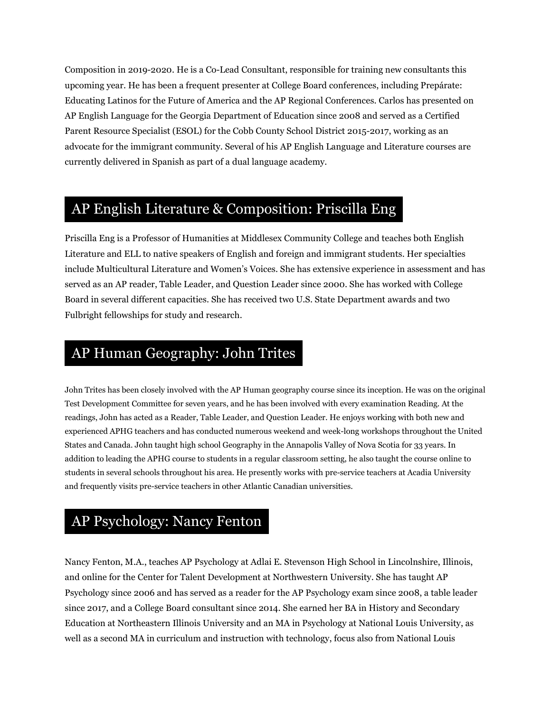Composition in 2019-2020. He is a Co-Lead Consultant, responsible for training new consultants this upcoming year. He has been a frequent presenter at College Board conferences, including Prepárate: Educating Latinos for the Future of America and the AP Regional Conferences. Carlos has presented on AP English Language for the Georgia Department of Education since 2008 and served as a Certified Parent Resource Specialist (ESOL) for the Cobb County School District 2015-2017, working as an advocate for the immigrant community. Several of his AP English Language and Literature courses are currently delivered in Spanish as part of a dual language academy.

## AP English Literature & Composition: Priscilla Eng

Priscilla Eng is a Professor of Humanities at Middlesex Community College and teaches both English Literature and ELL to native speakers of English and foreign and immigrant students. Her specialties include Multicultural Literature and Women's Voices. She has extensive experience in assessment and has served as an AP reader, Table Leader, and Question Leader since 2000. She has worked with College Board in several different capacities. She has received two U.S. State Department awards and two Fulbright fellowships for study and research.

## AP Human Geography: John Trites

John Trites has been closely involved with the AP Human geography course since its inception. He was on the original Test Development Committee for seven years, and he has been involved with every examination Reading. At the readings, John has acted as a Reader, Table Leader, and Question Leader. He enjoys working with both new and experienced APHG teachers and has conducted numerous weekend and week-long workshops throughout the United States and Canada. John taught high school Geography in the Annapolis Valley of Nova Scotia for 33 years. In addition to leading the APHG course to students in a regular classroom setting, he also taught the course online to students in several schools throughout his area. He presently works with pre-service teachers at Acadia University and frequently visits pre-service teachers in other Atlantic Canadian universities.

## AP Psychology: Nancy Fenton

Nancy Fenton, M.A., teaches AP Psychology at Adlai E. Stevenson High School in Lincolnshire, Illinois, and online for the Center for Talent Development at Northwestern University. She has taught AP Psychology since 2006 and has served as a reader for the AP Psychology exam since 2008, a table leader since 2017, and a College Board consultant since 2014. She earned her BA in History and Secondary Education at Northeastern Illinois University and an MA in Psychology at National Louis University, as well as a second MA in curriculum and instruction with technology, focus also from National Louis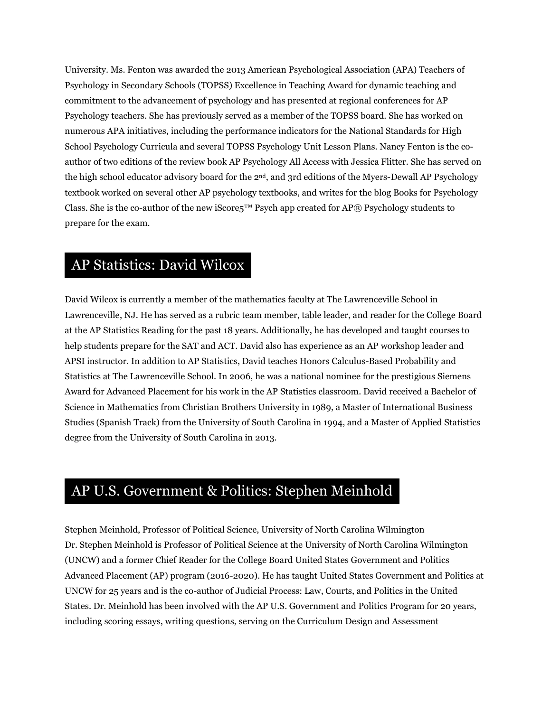University. Ms. Fenton was awarded the 2013 American Psychological Association (APA) Teachers of Psychology in Secondary Schools (TOPSS) Excellence in Teaching Award for dynamic teaching and commitment to the advancement of psychology and has presented at regional conferences for AP Psychology teachers. She has previously served as a member of the TOPSS board. She has worked on numerous APA initiatives, including the performance indicators for the National Standards for High School Psychology Curricula and several TOPSS Psychology Unit Lesson Plans. Nancy Fenton is the coauthor of two editions of the review book AP Psychology All Access with Jessica Flitter. She has served on the high school educator advisory board for the 2nd, and 3rd editions of the Myers-Dewall AP Psychology textbook worked on several other AP psychology textbooks, and writes for the blog Books for Psychology Class. She is the co-author of the new iScore5™ Psych app created for AP® Psychology students to prepare for the exam.

#### AP Statistics: David Wilcox

David Wilcox is currently a member of the mathematics faculty at The Lawrenceville School in Lawrenceville, NJ. He has served as a rubric team member, table leader, and reader for the College Board at the AP Statistics Reading for the past 18 years. Additionally, he has developed and taught courses to help students prepare for the SAT and ACT. David also has experience as an AP workshop leader and APSI instructor. In addition to AP Statistics, David teaches Honors Calculus-Based Probability and Statistics at The Lawrenceville School. In 2006, he was a national nominee for the prestigious Siemens Award for Advanced Placement for his work in the AP Statistics classroom. David received a Bachelor of Science in Mathematics from Christian Brothers University in 1989, a Master of International Business Studies (Spanish Track) from the University of South Carolina in 1994, and a Master of Applied Statistics degree from the University of South Carolina in 2013.

#### AP U.S. Government & Politics: Stephen Meinhold

Stephen Meinhold, Professor of Political Science, University of North Carolina Wilmington Dr. Stephen Meinhold is Professor of Political Science at the University of North Carolina Wilmington (UNCW) and a former Chief Reader for the College Board United States Government and Politics Advanced Placement (AP) program (2016-2020). He has taught United States Government and Politics at UNCW for 25 years and is the co-author of Judicial Process: Law, Courts, and Politics in the United States. Dr. Meinhold has been involved with the AP U.S. Government and Politics Program for 20 years, including scoring essays, writing questions, serving on the Curriculum Design and Assessment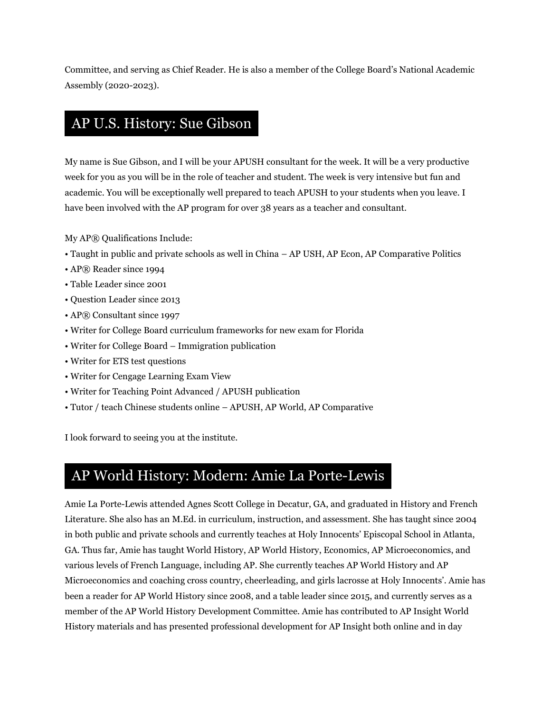Committee, and serving as Chief Reader. He is also a member of the College Board's National Academic Assembly (2020-2023).

# AP U.S. History: Sue Gibson

My name is Sue Gibson, and I will be your APUSH consultant for the week. It will be a very productive week for you as you will be in the role of teacher and student. The week is very intensive but fun and academic. You will be exceptionally well prepared to teach APUSH to your students when you leave. I have been involved with the AP program for over 38 years as a teacher and consultant.

My AP® Qualifications Include:

- Taught in public and private schools as well in China AP USH, AP Econ, AP Comparative Politics
- AP® Reader since 1994
- Table Leader since 2001
- Question Leader since 2013
- AP® Consultant since 1997
- Writer for College Board curriculum frameworks for new exam for Florida
- Writer for College Board Immigration publication
- Writer for ETS test questions
- Writer for Cengage Learning Exam View
- Writer for Teaching Point Advanced / APUSH publication
- Tutor / teach Chinese students online APUSH, AP World, AP Comparative

I look forward to seeing you at the institute.

#### AP World History: Modern: Amie La Porte-Lewis

Amie La Porte-Lewis attended Agnes Scott College in Decatur, GA, and graduated in History and French Literature. She also has an M.Ed. in curriculum, instruction, and assessment. She has taught since 2004 in both public and private schools and currently teaches at Holy Innocents' Episcopal School in Atlanta, GA. Thus far, Amie has taught World History, AP World History, Economics, AP Microeconomics, and various levels of French Language, including AP. She currently teaches AP World History and AP Microeconomics and coaching cross country, cheerleading, and girls lacrosse at Holy Innocents'. Amie has been a reader for AP World History since 2008, and a table leader since 2015, and currently serves as a member of the AP World History Development Committee. Amie has contributed to AP Insight World History materials and has presented professional development for AP Insight both online and in day